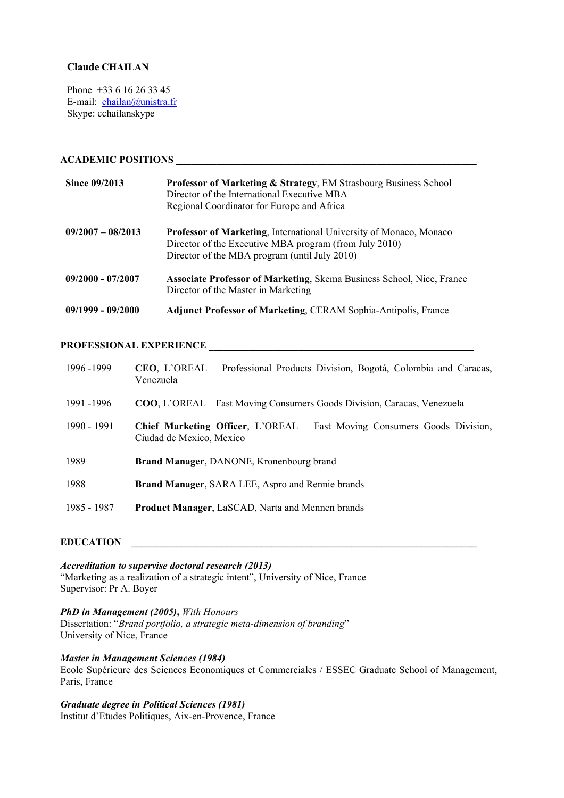# **Claude CHAILAN**

Phone +33 6 16 26 33 45 E-mail: chailan@unistra.fr Skype: cchailanskype

# **ACADEMIC POSITIONS \_\_\_\_\_\_\_\_\_\_\_\_\_\_\_\_\_\_\_\_\_\_\_\_\_\_\_\_\_\_\_\_\_\_\_\_\_\_\_\_\_\_\_\_\_\_\_\_\_\_\_\_\_\_\_\_\_\_\_\_**

| Since 09/2013       | <b>Professor of Marketing &amp; Strategy, EM Strasbourg Business School</b><br>Director of the International Executive MBA<br>Regional Coordinator for Europe and Africa      |
|---------------------|-------------------------------------------------------------------------------------------------------------------------------------------------------------------------------|
| $09/2007 - 08/2013$ | Professor of Marketing, International University of Monaco, Monaco<br>Director of the Executive MBA program (from July 2010)<br>Director of the MBA program (until July 2010) |
| $09/2000 - 07/2007$ | <b>Associate Professor of Marketing, Skema Business School, Nice, France</b><br>Director of the Master in Marketing                                                           |
| $09/1999 - 09/2000$ | <b>Adjunct Professor of Marketing, CERAM Sophia-Antipolis, France</b>                                                                                                         |

## PROFESSIONAL EXPERIENCE

| 1996 - 1999 | CEO, L'OREAL – Professional Products Division, Bogotá, Colombia and Caracas,<br>Venezuela                   |
|-------------|-------------------------------------------------------------------------------------------------------------|
| 1991 -1996  | <b>COO, L'OREAL</b> – Fast Moving Consumers Goods Division, Caracas, Venezuela                              |
| 1990 - 1991 | <b>Chief Marketing Officer, L'OREAL - Fast Moving Consumers Goods Division,</b><br>Ciudad de Mexico, Mexico |
| 1989        | Brand Manager, DANONE, Kronenbourg brand                                                                    |
| 1988        | Brand Manager, SARA LEE, Aspro and Rennie brands                                                            |
| 1985 - 1987 | Product Manager, LaSCAD, Narta and Mennen brands                                                            |

### $EDUCATION$

*Accreditation to supervise doctoral research (2013)* "Marketing as a realization of a strategic intent", University of Nice, France Supervisor: Pr A. Boyer

## *PhD in Management (2005)***,** *With Honours*

Dissertation: "*Brand portfolio, a strategic meta-dimension of branding*" University of Nice, France

## *Master in Management Sciences (1984)*

Ecole Supérieure des Sciences Economiques et Commerciales / ESSEC Graduate School of Management, Paris, France

# *Graduate degree in Political Sciences (1981)*

Institut d'Etudes Politiques, Aix-en-Provence, France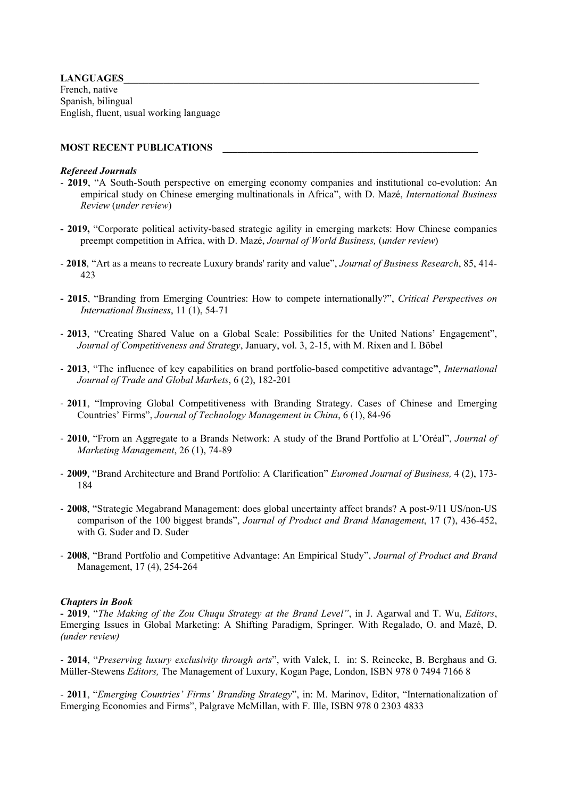# LANGUAGES

French, native Spanish, bilingual English, fluent, usual working language

## **MOST RECENT PUBLICATIONS**

## *Refereed Journals*

- **2019**, "A South-South perspective on emerging economy companies and institutional co-evolution: An empirical study on Chinese emerging multinationals in Africa", with D. Mazé, *International Business Review* (*under review*)
- **- 2019,** "Corporate political activity-based strategic agility in emerging markets: How Chinese companies preempt competition in Africa, with D. Mazé, *Journal of World Business,* (*under review*)
- **2018**, "Art as a means to recreate Luxury brands' rarity and value", *Journal of Business Research*, 85, 414- 423
- **- 2015**, "Branding from Emerging Countries: How to compete internationally?", *Critical Perspectives on International Business*, 11 (1), 54-71
- **2013**, "Creating Shared Value on a Global Scale: Possibilities for the United Nations' Engagement", *Journal of Competitiveness and Strategy*, January, vol. 3, 2-15, with M. Rixen and I. Böbel
- **2013**, "The influence of key capabilities on brand portfolio-based competitive advantage**"**, *International Journal of Trade and Global Markets*, 6 (2), 182-201
- **2011**, "Improving Global Competitiveness with Branding Strategy. Cases of Chinese and Emerging Countries' Firms", *Journal of Technology Management in China*, 6 (1), 84-96
- **2010**, "From an Aggregate to a Brands Network: A study of the Brand Portfolio at L'Oréal", *Journal of Marketing Management*, 26 (1), 74-89
- **2009**, "Brand Architecture and Brand Portfolio: A Clarification" *Euromed Journal of Business,* 4 (2), 173- 184
- **2008**, "Strategic Megabrand Management: does global uncertainty affect brands? A post-9/11 US/non-US comparison of the 100 biggest brands", *Journal of Product and Brand Management*, 17 (7), 436-452, with G. Suder and D. Suder
- **2008**, "Brand Portfolio and Competitive Advantage: An Empirical Study", *Journal of Product and Brand* Management, 17 (4), 254-264

### *Chapters in Book*

**- 2019**, "*The Making of the Zou Chuqu Strategy at the Brand Level"*, in J. Agarwal and T. Wu, *Editors*, Emerging Issues in Global Marketing: A Shifting Paradigm, Springer. With Regalado, O. and Mazé, D. *(under review)*

- **2014**, "*Preserving luxury exclusivity through arts*", with Valek, I. in: S. Reinecke, B. Berghaus and G. Müller-Stewens *Editors,* The Management of Luxury, Kogan Page, London, ISBN 978 0 7494 7166 8

- **2011**, "*Emerging Countries' Firms' Branding Strategy*", in: M. Marinov, Editor, "Internationalization of Emerging Economies and Firms", Palgrave McMillan, with F. Ille, ISBN 978 0 2303 4833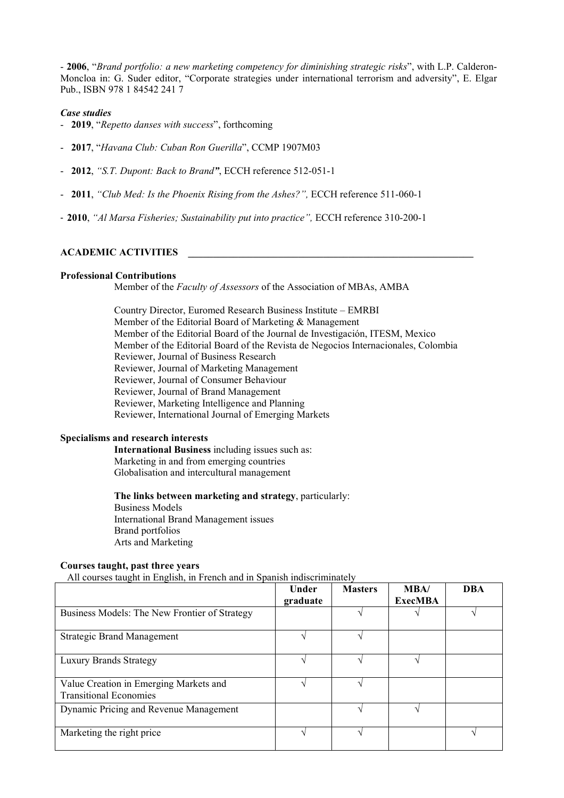- **2006**, "*Brand portfolio: a new marketing competency for diminishing strategic risks*", with L.P. Calderon-Moncloa in: G. Suder editor, "Corporate strategies under international terrorism and adversity", E. Elgar Pub., ISBN 978 1 84542 241 7

### *Case studies*

- **2019**, "*Repetto danses with success*", forthcoming
- **2017**, "*Havana Club: Cuban Ron Guerilla*", CCMP 1907M03
- **2012**, *"S.T. Dupont: Back to Brand"*, ECCH reference 512-051-1
- **2011**, *"Club Med: Is the Phoenix Rising from the Ashes?",* ECCH reference 511-060-1
- **2010**, *"Al Marsa Fisheries; Sustainability put into practice",* ECCH reference 310-200-1

### **ACADEMIC ACTIVITIES \_\_\_\_\_\_\_\_\_\_\_\_\_\_\_\_\_\_\_\_\_\_\_\_\_\_\_\_\_\_\_\_\_\_\_\_\_\_\_\_\_\_\_\_\_\_\_\_\_\_\_\_\_\_\_\_\_**

#### **Professional Contributions**

Member of the *Faculty of Assessors* of the Association of MBAs, AMBA

Country Director, Euromed Research Business Institute – EMRBI Member of the Editorial Board of Marketing & Management Member of the Editorial Board of the Journal de Investigación, ITESM, Mexico Member of the Editorial Board of the Revista de Negocios Internacionales, Colombia Reviewer, Journal of Business Research Reviewer, Journal of Marketing Management Reviewer, Journal of Consumer Behaviour Reviewer, Journal of Brand Management Reviewer, Marketing Intelligence and Planning Reviewer, International Journal of Emerging Markets

## **Specialisms and research interests**

**International Business** including issues such as: Marketing in and from emerging countries Globalisation and intercultural management

**The links between marketing and strategy**, particularly: Business Models International Brand Management issues Brand portfolios Arts and Marketing

## **Courses taught, past three years**

All courses taught in English, in French and in Spanish indiscriminately

|                                                                         | Under<br>graduate | <b>Masters</b> | MBA/<br><b>ExecMBA</b> | <b>DBA</b> |
|-------------------------------------------------------------------------|-------------------|----------------|------------------------|------------|
| Business Models: The New Frontier of Strategy                           |                   |                |                        |            |
| <b>Strategic Brand Management</b>                                       |                   |                |                        |            |
| <b>Luxury Brands Strategy</b>                                           |                   |                |                        |            |
| Value Creation in Emerging Markets and<br><b>Transitional Economies</b> |                   |                |                        |            |
| Dynamic Pricing and Revenue Management                                  |                   |                |                        |            |
| Marketing the right price                                               |                   |                |                        |            |